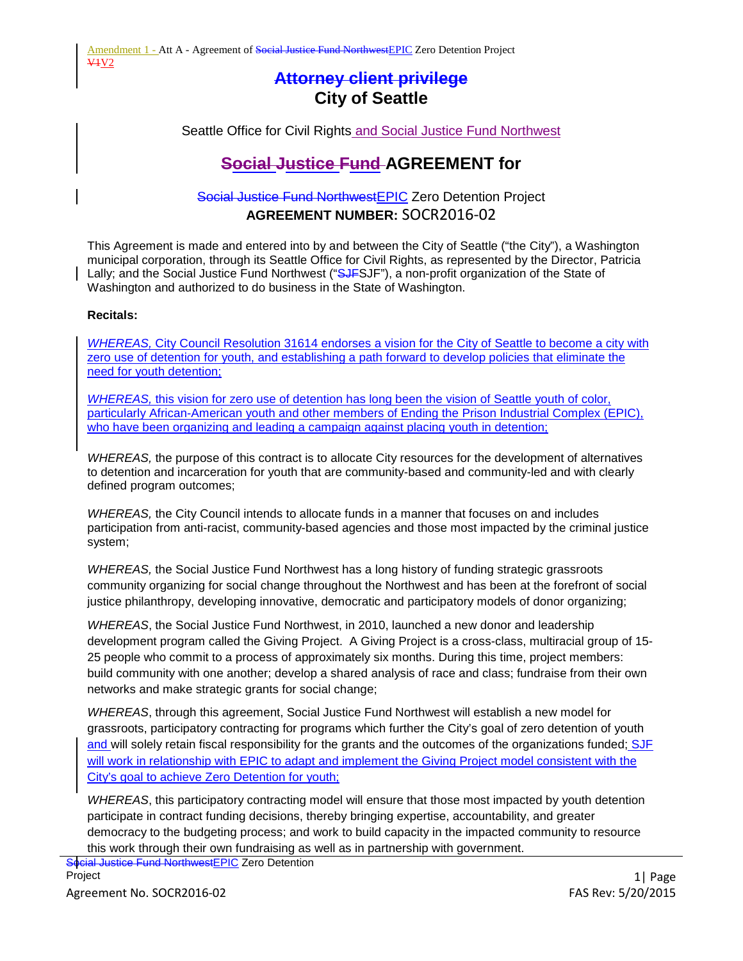# **Attorney client privilege City of Seattle**

Seattle Office for Civil Rights and Social Justice Fund Northwest

# **Social Justice Fund AGREEMENT for**

# Social Justice Fund NorthwestEPIC Zero Detention Project **AGREEMENT NUMBER:** SOCR2016-02

This Agreement is made and entered into by and between the City of Seattle ("the City"), a Washington municipal corporation, through its Seattle Office for Civil Rights, as represented by the Director, Patricia Lally; and the Social Justice Fund Northwest ("SJFSJF"), a non-profit organization of the State of Washington and authorized to do business in the State of Washington.

#### **Recitals:**

*WHEREAS,* City Council Resolution 31614 endorses a vision for the City of Seattle to become a city with zero use of detention for youth, and establishing a path forward to develop policies that eliminate the need for youth detention;

*WHEREAS,* this vision for zero use of detention has long been the vision of Seattle youth of color, particularly African-American youth and other members of Ending the Prison Industrial Complex (EPIC), who have been organizing and leading a campaign against placing youth in detention;

*WHEREAS,* the purpose of this contract is to allocate City resources for the development of alternatives to detention and incarceration for youth that are community-based and community-led and with clearly defined program outcomes;

*WHEREAS,* the City Council intends to allocate funds in a manner that focuses on and includes participation from anti-racist, community-based agencies and those most impacted by the criminal justice system;

*WHEREAS,* the Social Justice Fund Northwest has a long history of funding strategic grassroots community organizing for social change throughout the Northwest and has been at the forefront of social justice philanthropy, developing innovative, democratic and participatory models of donor organizing;

*WHEREAS*, the Social Justice Fund Northwest, in 2010, launched a new donor and leadership development program called the Giving Project. A Giving Project is a cross-class, multiracial group of 15- 25 people who commit to a process of approximately six months. During this time, project members: build community with one another; develop a shared analysis of race and class; fundraise from their own networks and make strategic grants for social change;

*WHEREAS*, through this agreement, Social Justice Fund Northwest will establish a new model for grassroots, participatory contracting for programs which further the City's goal of zero detention of youth and will solely retain fiscal responsibility for the grants and the outcomes of the organizations funded; SJF will work in relationship with EPIC to adapt and implement the Giving Project model consistent with the City's goal to achieve Zero Detention for youth;

*WHEREAS*, this participatory contracting model will ensure that those most impacted by youth detention participate in contract funding decisions, thereby bringing expertise, accountability, and greater democracy to the budgeting process; and work to build capacity in the impacted community to resource this work through their own fundraising as well as in partnership with government.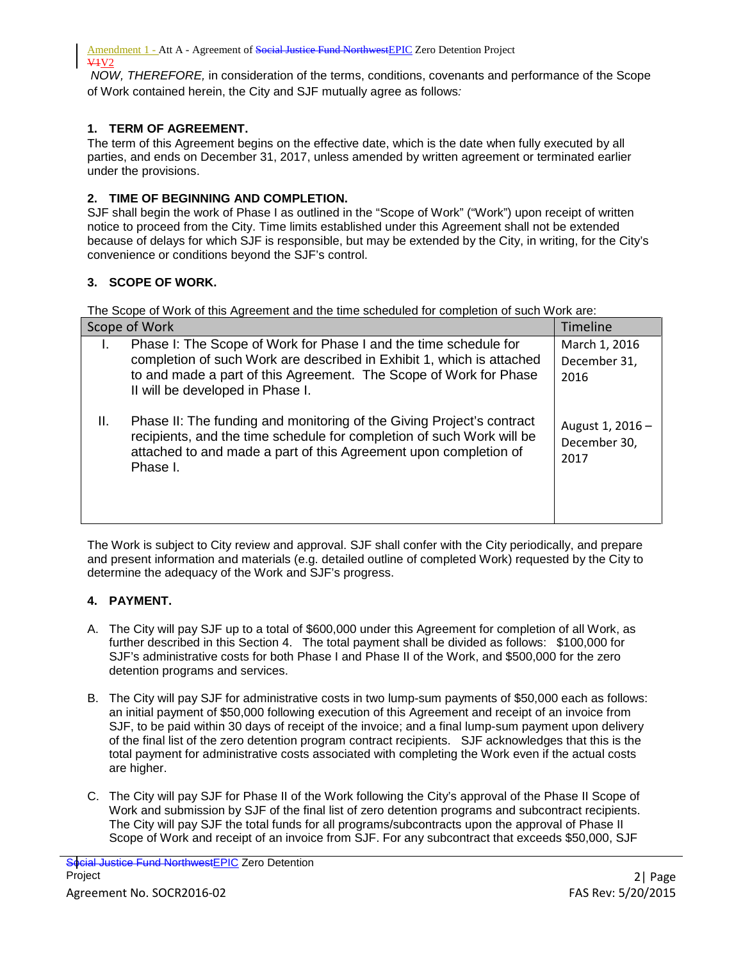*NOW, THEREFORE,* in consideration of the terms, conditions, covenants and performance of the Scope of Work contained herein, the City and SJF mutually agree as follows*:*

## **1. TERM OF AGREEMENT.**

The term of this Agreement begins on the effective date, which is the date when fully executed by all parties, and ends on December 31, 2017, unless amended by written agreement or terminated earlier under the provisions.

## **2. TIME OF BEGINNING AND COMPLETION.**

SJF shall begin the work of Phase I as outlined in the "Scope of Work" ("Work") upon receipt of written notice to proceed from the City. Time limits established under this Agreement shall not be extended because of delays for which SJF is responsible, but may be extended by the City, in writing, for the City's convenience or conditions beyond the SJF's control.

## **3. SCOPE OF WORK.**

The Scope of Work of this Agreement and the time scheduled for completion of such Work are:

| Scope of Work                                                                                                                                                                                                                                      | <b>Timeline</b>                          |
|----------------------------------------------------------------------------------------------------------------------------------------------------------------------------------------------------------------------------------------------------|------------------------------------------|
| Phase I: The Scope of Work for Phase I and the time schedule for<br>completion of such Work are described in Exhibit 1, which is attached<br>to and made a part of this Agreement. The Scope of Work for Phase<br>II will be developed in Phase I. | March 1, 2016<br>December 31,<br>2016    |
| Ш.<br>Phase II: The funding and monitoring of the Giving Project's contract<br>recipients, and the time schedule for completion of such Work will be<br>attached to and made a part of this Agreement upon completion of<br>Phase I.               | August 1, 2016 -<br>December 30,<br>2017 |

The Work is subject to City review and approval. SJF shall confer with the City periodically, and prepare and present information and materials (e.g. detailed outline of completed Work) requested by the City to determine the adequacy of the Work and SJF's progress.

#### **4. PAYMENT.**

- A. The City will pay SJF up to a total of \$600,000 under this Agreement for completion of all Work, as further described in this Section 4. The total payment shall be divided as follows: \$100,000 for SJF's administrative costs for both Phase I and Phase II of the Work, and \$500,000 for the zero detention programs and services.
- B. The City will pay SJF for administrative costs in two lump-sum payments of \$50,000 each as follows: an initial payment of \$50,000 following execution of this Agreement and receipt of an invoice from SJF, to be paid within 30 days of receipt of the invoice; and a final lump-sum payment upon delivery of the final list of the zero detention program contract recipients. SJF acknowledges that this is the total payment for administrative costs associated with completing the Work even if the actual costs are higher.
- C. The City will pay SJF for Phase II of the Work following the City's approval of the Phase II Scope of Work and submission by SJF of the final list of zero detention programs and subcontract recipients. The City will pay SJF the total funds for all programs/subcontracts upon the approval of Phase II Scope of Work and receipt of an invoice from SJF. For any subcontract that exceeds \$50,000, SJF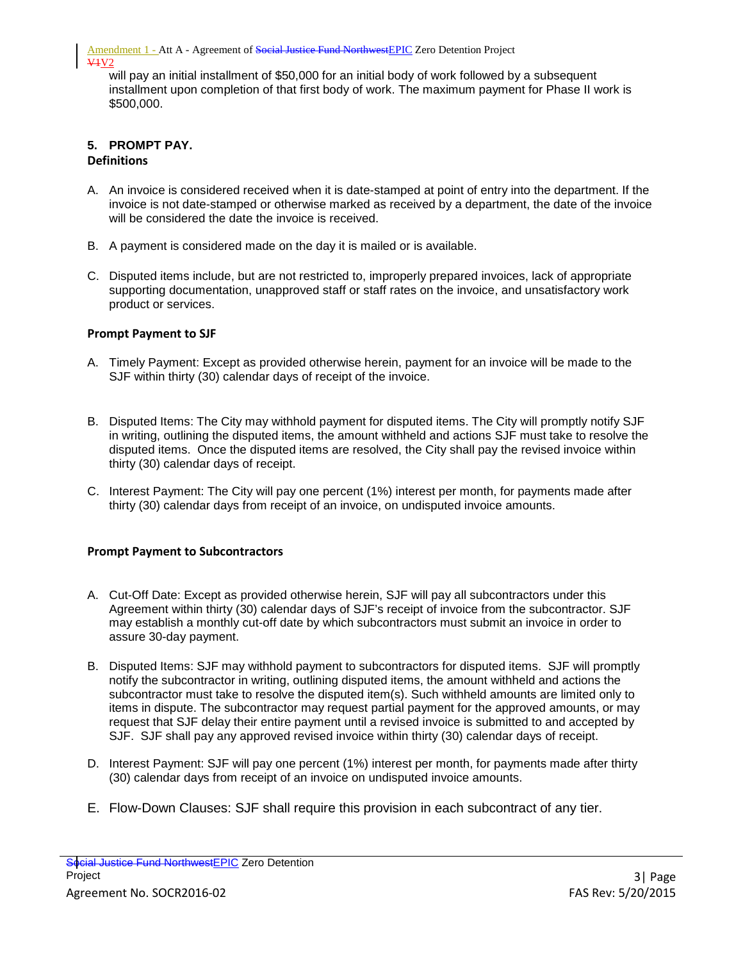will pay an initial installment of \$50,000 for an initial body of work followed by a subsequent installment upon completion of that first body of work. The maximum payment for Phase II work is \$500,000.

#### **5. PROMPT PAY. Definitions**

- A. An invoice is considered received when it is date-stamped at point of entry into the department. If the invoice is not date-stamped or otherwise marked as received by a department, the date of the invoice will be considered the date the invoice is received.
- B. A payment is considered made on the day it is mailed or is available.
- C. Disputed items include, but are not restricted to, improperly prepared invoices, lack of appropriate supporting documentation, unapproved staff or staff rates on the invoice, and unsatisfactory work product or services.

## **Prompt Payment to SJF**

- A. Timely Payment: Except as provided otherwise herein, payment for an invoice will be made to the SJF within thirty (30) calendar days of receipt of the invoice.
- B. Disputed Items: The City may withhold payment for disputed items. The City will promptly notify SJF in writing, outlining the disputed items, the amount withheld and actions SJF must take to resolve the disputed items. Once the disputed items are resolved, the City shall pay the revised invoice within thirty (30) calendar days of receipt.
- C. Interest Payment: The City will pay one percent (1%) interest per month, for payments made after thirty (30) calendar days from receipt of an invoice, on undisputed invoice amounts.

#### **Prompt Payment to Subcontractors**

- A. Cut-Off Date: Except as provided otherwise herein, SJF will pay all subcontractors under this Agreement within thirty (30) calendar days of SJF's receipt of invoice from the subcontractor. SJF may establish a monthly cut-off date by which subcontractors must submit an invoice in order to assure 30-day payment.
- B. Disputed Items: SJF may withhold payment to subcontractors for disputed items. SJF will promptly notify the subcontractor in writing, outlining disputed items, the amount withheld and actions the subcontractor must take to resolve the disputed item(s). Such withheld amounts are limited only to items in dispute. The subcontractor may request partial payment for the approved amounts, or may request that SJF delay their entire payment until a revised invoice is submitted to and accepted by SJF. SJF shall pay any approved revised invoice within thirty (30) calendar days of receipt.
- D. Interest Payment: SJF will pay one percent (1%) interest per month, for payments made after thirty (30) calendar days from receipt of an invoice on undisputed invoice amounts.
- E. Flow-Down Clauses: SJF shall require this provision in each subcontract of any tier.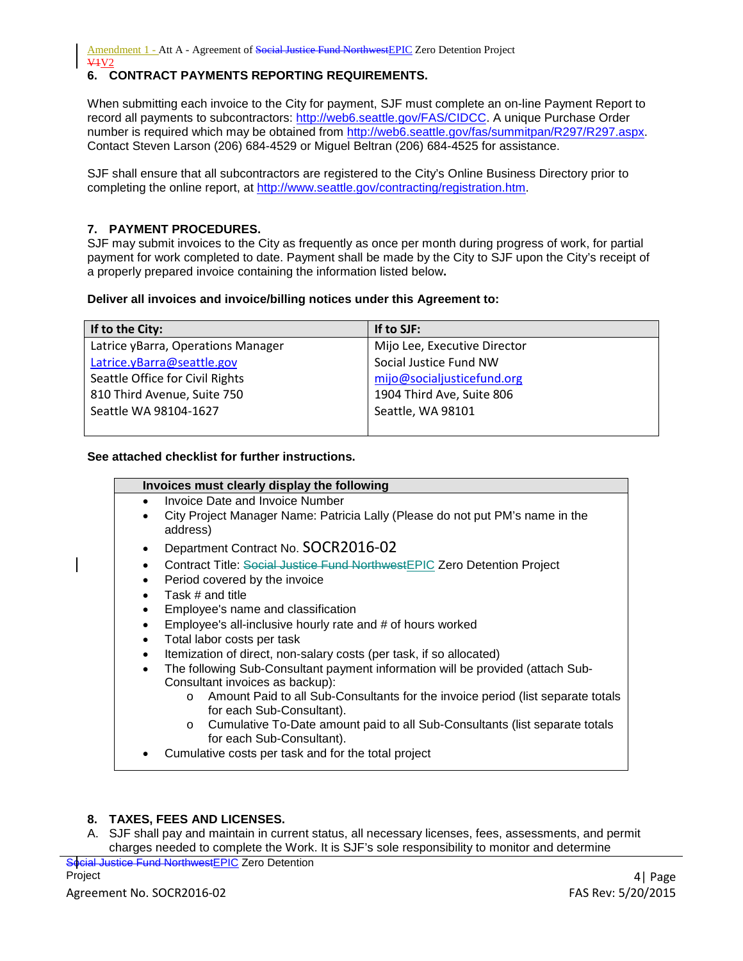## **6. CONTRACT PAYMENTS REPORTING REQUIREMENTS.**

When submitting each invoice to the City for payment, SJF must complete an on-line Payment Report to record all payments to subcontractors: [http://web6.seattle.gov/FAS/CIDCC.](http://web6.seattle.gov/FAS/CIDCC) A unique Purchase Order number is required which may be obtained from [http://web6.seattle.gov/fas/summitpan/R297/R297.aspx.](http://web6.seattle.gov/fas/summitpan/R297/R297.aspx) Contact Steven Larson (206) 684-4529 or Miguel Beltran (206) 684-4525 for assistance.

SJF shall ensure that all subcontractors are registered to the City's Online Business Directory prior to completing the online report, at http://www.seattle.gov/contracting/registration.htm.

#### **7. PAYMENT PROCEDURES.**

SJF may submit invoices to the City as frequently as once per month during progress of work, for partial payment for work completed to date. Payment shall be made by the City to SJF upon the City's receipt of a properly prepared invoice containing the information listed below**.**

#### **Deliver all invoices and invoice/billing notices under this Agreement to:**

| If to the City:                    | If to SJF:                   |
|------------------------------------|------------------------------|
| Latrice yBarra, Operations Manager | Mijo Lee, Executive Director |
| Latrice.yBarra@seattle.gov         | Social Justice Fund NW       |
| Seattle Office for Civil Rights    | mijo@socialjusticefund.org   |
| 810 Third Avenue, Suite 750        | 1904 Third Ave, Suite 806    |
| Seattle WA 98104-1627              | Seattle, WA 98101            |
|                                    |                              |

#### **See attached checklist for further instructions.**

| Invoices must clearly display the following                                                 |
|---------------------------------------------------------------------------------------------|
| Invoice Date and Invoice Number                                                             |
| City Project Manager Name: Patricia Lally (Please do not put PM's name in the<br>address)   |
| Department Contract No. SOCR2016-02<br>$\bullet$                                            |
| Contract Title: Social Justice Fund NorthwestEPIC Zero Detention Project<br>$\bullet$       |
| Period covered by the invoice<br>$\bullet$                                                  |
| Task # and title<br>$\bullet$                                                               |
| Employee's name and classification                                                          |
| Employee's all-inclusive hourly rate and # of hours worked                                  |
| Total labor costs per task<br>$\bullet$                                                     |
| Itemization of direct, non-salary costs (per task, if so allocated)<br>$\bullet$            |
| The following Sub-Consultant payment information will be provided (attach Sub-<br>$\bullet$ |
| Consultant invoices as backup):                                                             |
| Amount Paid to all Sub-Consultants for the invoice period (list separate totals<br>$\circ$  |
| for each Sub-Consultant).                                                                   |
| Cumulative To-Date amount paid to all Sub-Consultants (list separate totals<br>$\circ$      |
| for each Sub-Consultant).                                                                   |

• Cumulative costs per task and for the total project

#### **8. TAXES, FEES AND LICENSES.**

A. SJF shall pay and maintain in current status, all necessary licenses, fees, assessments, and permit charges needed to complete the Work. It is SJF's sole responsibility to monitor and determine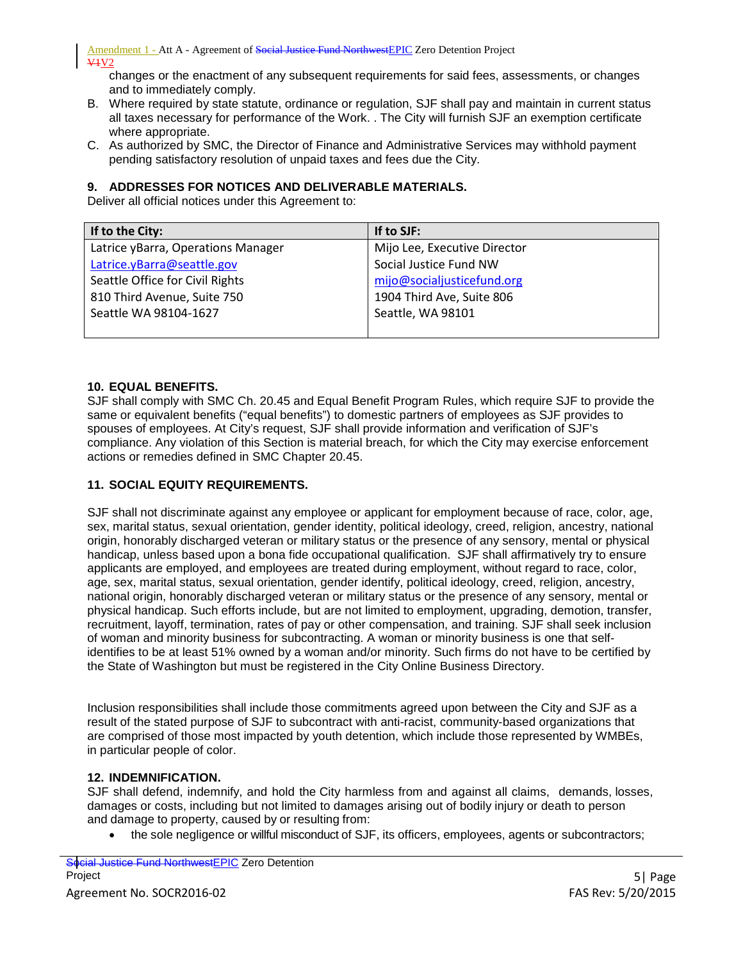changes or the enactment of any subsequent requirements for said fees, assessments, or changes and to immediately comply.

- B. Where required by state statute, ordinance or regulation, SJF shall pay and maintain in current status all taxes necessary for performance of the Work. . The City will furnish SJF an exemption certificate where appropriate.
- C. As authorized by SMC, the Director of Finance and Administrative Services may withhold payment pending satisfactory resolution of unpaid taxes and fees due the City.

#### **9. ADDRESSES FOR NOTICES AND DELIVERABLE MATERIALS.**

Deliver all official notices under this Agreement to:

| If to the City:                    | If to SJF:                   |
|------------------------------------|------------------------------|
| Latrice yBarra, Operations Manager | Mijo Lee, Executive Director |
| Latrice.yBarra@seattle.gov         | Social Justice Fund NW       |
| Seattle Office for Civil Rights    | mijo@socialjusticefund.org   |
| 810 Third Avenue, Suite 750        | 1904 Third Ave, Suite 806    |
| Seattle WA 98104-1627              | Seattle, WA 98101            |
|                                    |                              |

#### **10. EQUAL BENEFITS.**

SJF shall comply with SMC Ch. 20.45 and Equal Benefit Program Rules, which require SJF to provide the same or equivalent benefits ("equal benefits") to domestic partners of employees as SJF provides to spouses of employees. At City's request, SJF shall provide information and verification of SJF's compliance. Any violation of this Section is material breach, for which the City may exercise enforcement actions or remedies defined in SMC Chapter 20.45.

#### **11. SOCIAL EQUITY REQUIREMENTS.**

SJF shall not discriminate against any employee or applicant for employment because of race, color, age, sex, marital status, sexual orientation, gender identity, political ideology, creed, religion, ancestry, national origin, honorably discharged veteran or military status or the presence of any sensory, mental or physical handicap, unless based upon a bona fide occupational qualification. SJF shall affirmatively try to ensure applicants are employed, and employees are treated during employment, without regard to race, color, age, sex, marital status, sexual orientation, gender identify, political ideology, creed, religion, ancestry, national origin, honorably discharged veteran or military status or the presence of any sensory, mental or physical handicap. Such efforts include, but are not limited to employment, upgrading, demotion, transfer, recruitment, layoff, termination, rates of pay or other compensation, and training. SJF shall seek inclusion of woman and minority business for subcontracting. A woman or minority business is one that selfidentifies to be at least 51% owned by a woman and/or minority. Such firms do not have to be certified by the State of Washington but must be registered in the City Online Business Directory.

Inclusion responsibilities shall include those commitments agreed upon between the City and SJF as a result of the stated purpose of SJF to subcontract with anti-racist, community-based organizations that are comprised of those most impacted by youth detention, which include those represented by WMBEs, in particular people of color.

#### **12. INDEMNIFICATION.**

SJF shall defend, indemnify, and hold the City harmless from and against all claims, demands, losses, damages or costs, including but not limited to damages arising out of bodily injury or death to person and damage to property, caused by or resulting from:

• the sole negligence or willful misconduct of SJF, its officers, employees, agents or subcontractors;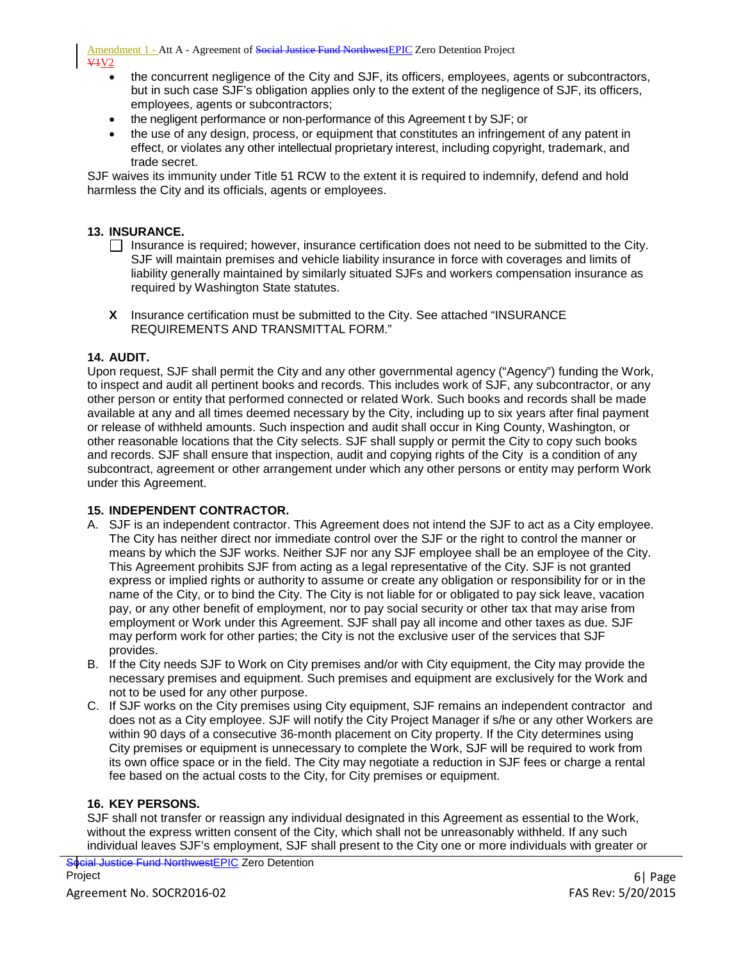Amendment 1 - Att A - Agreement of Social Justice Fund NorthwestEPIC Zero Detention Project  $V<sub>1</sub>V<sub>2</sub>$ 

- the concurrent negligence of the City and SJF, its officers, employees, agents or subcontractors, but in such case SJF's obligation applies only to the extent of the negligence of SJF, its officers, employees, agents or subcontractors;
- the negligent performance or non-performance of this Agreement t by SJF; or
- the use of any design, process, or equipment that constitutes an infringement of any patent in effect, or violates any other intellectual proprietary interest, including copyright, trademark, and trade secret.

SJF waives its immunity under Title 51 RCW to the extent it is required to indemnify, defend and hold harmless the City and its officials, agents or employees.

#### **13. INSURANCE.**

- $\Box$  Insurance is required; however, insurance certification does not need to be submitted to the City. SJF will maintain premises and vehicle liability insurance in force with coverages and limits of liability generally maintained by similarly situated SJFs and workers compensation insurance as required by Washington State statutes.
- **X** Insurance certification must be submitted to the City. See attached "INSURANCE REQUIREMENTS AND TRANSMITTAL FORM."

#### **14. AUDIT.**

Upon request, SJF shall permit the City and any other governmental agency ("Agency") funding the Work, to inspect and audit all pertinent books and records. This includes work of SJF, any subcontractor, or any other person or entity that performed connected or related Work. Such books and records shall be made available at any and all times deemed necessary by the City, including up to six years after final payment or release of withheld amounts. Such inspection and audit shall occur in King County, Washington, or other reasonable locations that the City selects. SJF shall supply or permit the City to copy such books and records. SJF shall ensure that inspection, audit and copying rights of the City is a condition of any subcontract, agreement or other arrangement under which any other persons or entity may perform Work under this Agreement.

#### **15. INDEPENDENT CONTRACTOR.**

- A. SJF is an independent contractor. This Agreement does not intend the SJF to act as a City employee. The City has neither direct nor immediate control over the SJF or the right to control the manner or means by which the SJF works. Neither SJF nor any SJF employee shall be an employee of the City. This Agreement prohibits SJF from acting as a legal representative of the City. SJF is not granted express or implied rights or authority to assume or create any obligation or responsibility for or in the name of the City, or to bind the City. The City is not liable for or obligated to pay sick leave, vacation pay, or any other benefit of employment, nor to pay social security or other tax that may arise from employment or Work under this Agreement. SJF shall pay all income and other taxes as due. SJF may perform work for other parties; the City is not the exclusive user of the services that SJF provides.
- B. If the City needs SJF to Work on City premises and/or with City equipment, the City may provide the necessary premises and equipment. Such premises and equipment are exclusively for the Work and not to be used for any other purpose.
- C. If SJF works on the City premises using City equipment, SJF remains an independent contractor and does not as a City employee. SJF will notify the City Project Manager if s/he or any other Workers are within 90 days of a consecutive 36-month placement on City property. If the City determines using City premises or equipment is unnecessary to complete the Work, SJF will be required to work from its own office space or in the field. The City may negotiate a reduction in SJF fees or charge a rental fee based on the actual costs to the City, for City premises or equipment.

#### **16. KEY PERSONS.**

SJF shall not transfer or reassign any individual designated in this Agreement as essential to the Work, without the express written consent of the City, which shall not be unreasonably withheld. If any such individual leaves SJF's employment, SJF shall present to the City one or more individuals with greater or

<mark>Social Justice Fund Northwest</mark>EPIC Zero Detention<br>Project Project 6| Page

Agreement No. SOCR2016-02 FAS Rev: 5/20/2015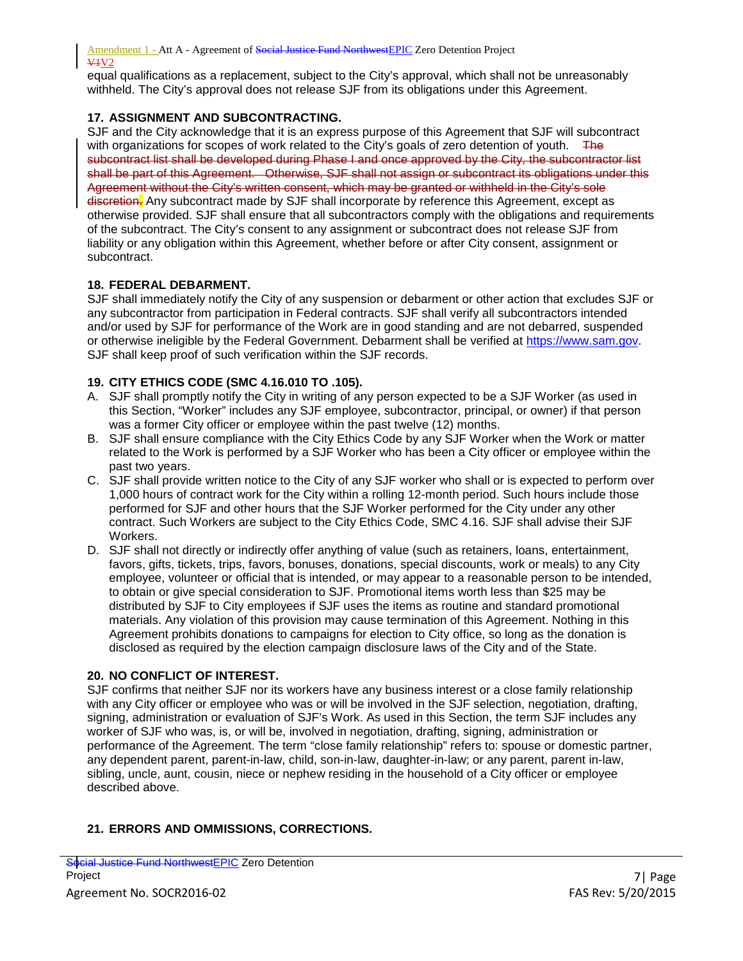equal qualifications as a replacement, subject to the City's approval, which shall not be unreasonably withheld. The City's approval does not release SJF from its obligations under this Agreement.

#### **17. ASSIGNMENT AND SUBCONTRACTING.**

SJF and the City acknowledge that it is an express purpose of this Agreement that SJF will subcontract with organizations for scopes of work related to the City's goals of zero detention of youth. The subcontract list shall be developed during Phase I and once approved by the City, the subcontractor list shall be part of this Agreement. Otherwise, SJF shall not assign or subcontract its obligations under this Agreement without the City's written consent, which may be granted or withheld in the City's sole discretion. Any subcontract made by SJF shall incorporate by reference this Agreement, except as otherwise provided. SJF shall ensure that all subcontractors comply with the obligations and requirements of the subcontract. The City's consent to any assignment or subcontract does not release SJF from liability or any obligation within this Agreement, whether before or after City consent, assignment or subcontract.

#### **18. FEDERAL DEBARMENT.**

SJF shall immediately notify the City of any suspension or debarment or other action that excludes SJF or any subcontractor from participation in Federal contracts. SJF shall verify all subcontractors intended and/or used by SJF for performance of the Work are in good standing and are not debarred, suspended or otherwise ineligible by the Federal Government. Debarment shall be verified at [https://www.sam.gov.](https://www.sam.gov/) SJF shall keep proof of such verification within the SJF records.

#### **19. CITY ETHICS CODE (SMC 4.16.010 TO .105).**

- A. SJF shall promptly notify the City in writing of any person expected to be a SJF Worker (as used in this Section, "Worker" includes any SJF employee, subcontractor, principal, or owner) if that person was a former City officer or employee within the past twelve (12) months.
- B. SJF shall ensure compliance with the City Ethics Code by any SJF Worker when the Work or matter related to the Work is performed by a SJF Worker who has been a City officer or employee within the past two years.
- C. SJF shall provide written notice to the City of any SJF worker who shall or is expected to perform over 1,000 hours of contract work for the City within a rolling 12-month period. Such hours include those performed for SJF and other hours that the SJF Worker performed for the City under any other contract. Such Workers are subject to the City Ethics Code, SMC 4.16. SJF shall advise their SJF Workers.
- D. SJF shall not directly or indirectly offer anything of value (such as retainers, loans, entertainment, favors, gifts, tickets, trips, favors, bonuses, donations, special discounts, work or meals) to any City employee, volunteer or official that is intended, or may appear to a reasonable person to be intended, to obtain or give special consideration to SJF. Promotional items worth less than \$25 may be distributed by SJF to City employees if SJF uses the items as routine and standard promotional materials. Any violation of this provision may cause termination of this Agreement. Nothing in this Agreement prohibits donations to campaigns for election to City office, so long as the donation is disclosed as required by the election campaign disclosure laws of the City and of the State.

#### **20. NO CONFLICT OF INTEREST.**

SJF confirms that neither SJF nor its workers have any business interest or a close family relationship with any City officer or employee who was or will be involved in the SJF selection, negotiation, drafting, signing, administration or evaluation of SJF's Work. As used in this Section, the term SJF includes any worker of SJF who was, is, or will be, involved in negotiation, drafting, signing, administration or performance of the Agreement. The term "close family relationship" refers to: spouse or domestic partner, any dependent parent, parent-in-law, child, son-in-law, daughter-in-law; or any parent, parent in-law, sibling, uncle, aunt, cousin, niece or nephew residing in the household of a City officer or employee described above.

#### **21. ERRORS AND OMMISSIONS, CORRECTIONS.**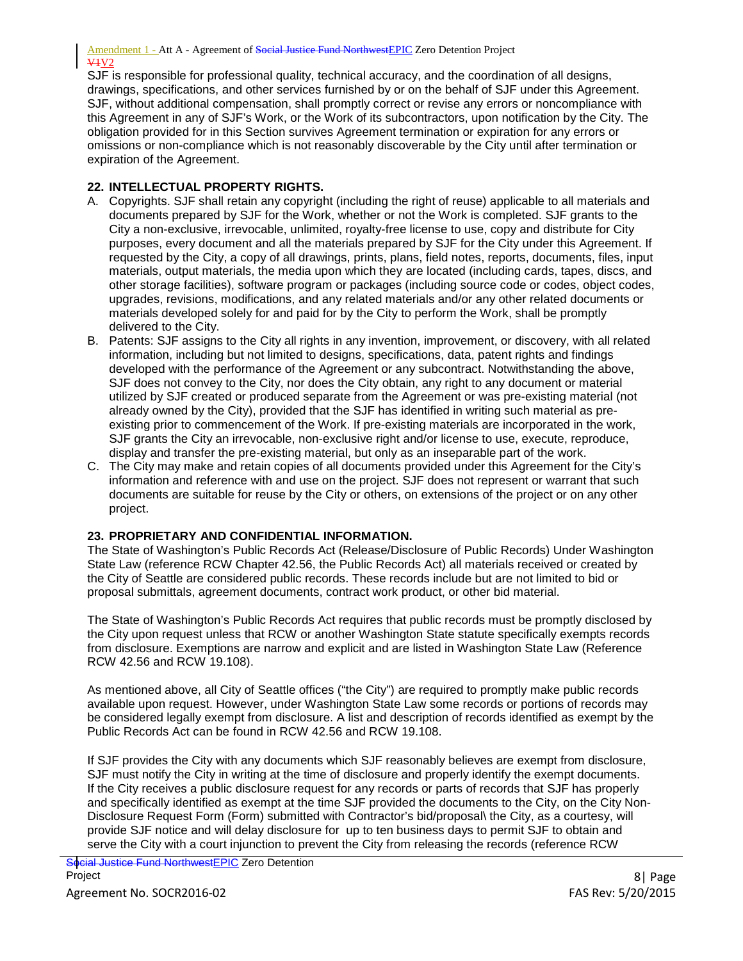SJF is responsible for professional quality, technical accuracy, and the coordination of all designs, drawings, specifications, and other services furnished by or on the behalf of SJF under this Agreement. SJF, without additional compensation, shall promptly correct or revise any errors or noncompliance with this Agreement in any of SJF's Work, or the Work of its subcontractors, upon notification by the City. The obligation provided for in this Section survives Agreement termination or expiration for any errors or omissions or non-compliance which is not reasonably discoverable by the City until after termination or expiration of the Agreement.

#### **22. INTELLECTUAL PROPERTY RIGHTS.**

- A. Copyrights. SJF shall retain any copyright (including the right of reuse) applicable to all materials and documents prepared by SJF for the Work, whether or not the Work is completed. SJF grants to the City a non-exclusive, irrevocable, unlimited, royalty-free license to use, copy and distribute for City purposes, every document and all the materials prepared by SJF for the City under this Agreement. If requested by the City, a copy of all drawings, prints, plans, field notes, reports, documents, files, input materials, output materials, the media upon which they are located (including cards, tapes, discs, and other storage facilities), software program or packages (including source code or codes, object codes, upgrades, revisions, modifications, and any related materials and/or any other related documents or materials developed solely for and paid for by the City to perform the Work, shall be promptly delivered to the City.
- B. Patents: SJF assigns to the City all rights in any invention, improvement, or discovery, with all related information, including but not limited to designs, specifications, data, patent rights and findings developed with the performance of the Agreement or any subcontract. Notwithstanding the above, SJF does not convey to the City, nor does the City obtain, any right to any document or material utilized by SJF created or produced separate from the Agreement or was pre-existing material (not already owned by the City), provided that the SJF has identified in writing such material as preexisting prior to commencement of the Work. If pre-existing materials are incorporated in the work, SJF grants the City an irrevocable, non-exclusive right and/or license to use, execute, reproduce, display and transfer the pre-existing material, but only as an inseparable part of the work.
- C. The City may make and retain copies of all documents provided under this Agreement for the City's information and reference with and use on the project. SJF does not represent or warrant that such documents are suitable for reuse by the City or others, on extensions of the project or on any other project.

## **23. PROPRIETARY AND CONFIDENTIAL INFORMATION.**

The State of Washington's Public Records Act (Release/Disclosure of Public Records) Under Washington State Law (reference RCW Chapter 42.56, the Public Records Act) all materials received or created by the City of Seattle are considered public records. These records include but are not limited to bid or proposal submittals, agreement documents, contract work product, or other bid material.

The State of Washington's Public Records Act requires that public records must be promptly disclosed by the City upon request unless that RCW or another Washington State statute specifically exempts records from disclosure. Exemptions are narrow and explicit and are listed in Washington State Law (Reference RCW 42.56 and RCW 19.108).

As mentioned above, all City of Seattle offices ("the City") are required to promptly make public records available upon request. However, under Washington State Law some records or portions of records may be considered legally exempt from disclosure. A list and description of records identified as exempt by the Public Records Act can be found in RCW 42.56 and RCW 19.108.

If SJF provides the City with any documents which SJF reasonably believes are exempt from disclosure, SJF must notify the City in writing at the time of disclosure and properly identify the exempt documents. If the City receives a public disclosure request for any records or parts of records that SJF has properly and specifically identified as exempt at the time SJF provided the documents to the City, on the City Non-Disclosure Request Form (Form) submitted with Contractor's bid/proposal\ the City, as a courtesy, will provide SJF notice and will delay disclosure for up to ten business days to permit SJF to obtain and serve the City with a court injunction to prevent the City from releasing the records (reference RCW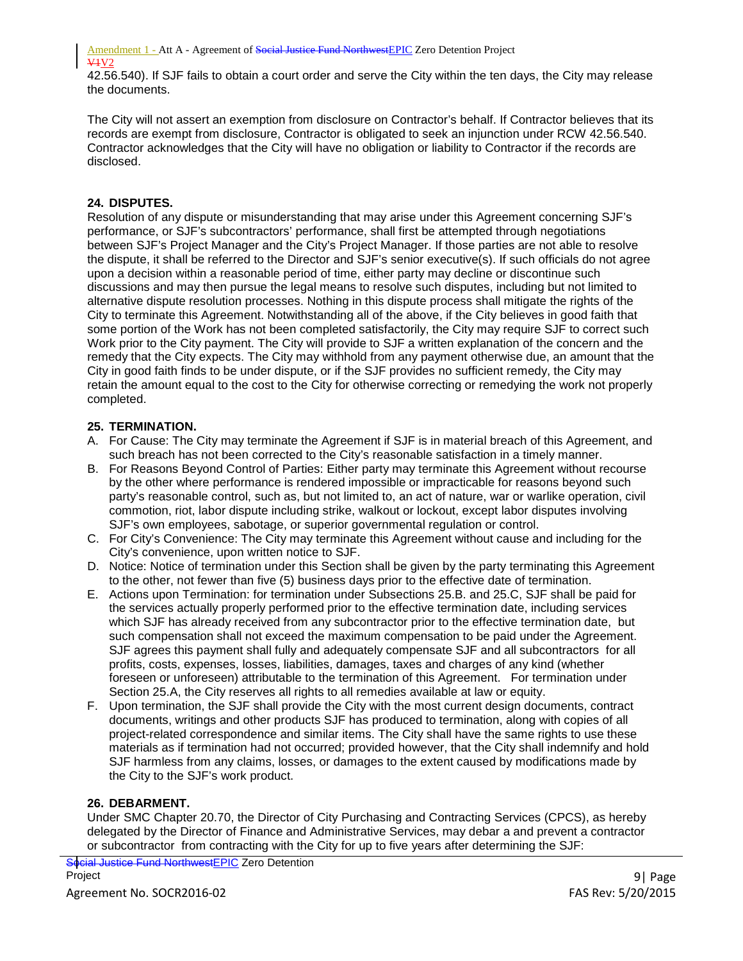42.56.540). If SJF fails to obtain a court order and serve the City within the ten days, the City may release the documents.

The City will not assert an exemption from disclosure on Contractor's behalf. If Contractor believes that its records are exempt from disclosure, Contractor is obligated to seek an injunction under RCW 42.56.540. Contractor acknowledges that the City will have no obligation or liability to Contractor if the records are disclosed.

## **24. DISPUTES.**

Resolution of any dispute or misunderstanding that may arise under this Agreement concerning SJF's performance, or SJF's subcontractors' performance, shall first be attempted through negotiations between SJF's Project Manager and the City's Project Manager. If those parties are not able to resolve the dispute, it shall be referred to the Director and SJF's senior executive(s). If such officials do not agree upon a decision within a reasonable period of time, either party may decline or discontinue such discussions and may then pursue the legal means to resolve such disputes, including but not limited to alternative dispute resolution processes. Nothing in this dispute process shall mitigate the rights of the City to terminate this Agreement. Notwithstanding all of the above, if the City believes in good faith that some portion of the Work has not been completed satisfactorily, the City may require SJF to correct such Work prior to the City payment. The City will provide to SJF a written explanation of the concern and the remedy that the City expects. The City may withhold from any payment otherwise due, an amount that the City in good faith finds to be under dispute, or if the SJF provides no sufficient remedy, the City may retain the amount equal to the cost to the City for otherwise correcting or remedying the work not properly completed.

#### **25. TERMINATION.**

- A. For Cause: The City may terminate the Agreement if SJF is in material breach of this Agreement, and such breach has not been corrected to the City's reasonable satisfaction in a timely manner.
- B. For Reasons Beyond Control of Parties: Either party may terminate this Agreement without recourse by the other where performance is rendered impossible or impracticable for reasons beyond such party's reasonable control, such as, but not limited to, an act of nature, war or warlike operation, civil commotion, riot, labor dispute including strike, walkout or lockout, except labor disputes involving SJF's own employees, sabotage, or superior governmental regulation or control.
- C. For City's Convenience: The City may terminate this Agreement without cause and including for the City's convenience, upon written notice to SJF.
- D. Notice: Notice of termination under this Section shall be given by the party terminating this Agreement to the other, not fewer than five (5) business days prior to the effective date of termination.
- E. Actions upon Termination: for termination under Subsections 25.B. and 25.C, SJF shall be paid for the services actually properly performed prior to the effective termination date, including services which SJF has already received from any subcontractor prior to the effective termination date, but such compensation shall not exceed the maximum compensation to be paid under the Agreement. SJF agrees this payment shall fully and adequately compensate SJF and all subcontractors for all profits, costs, expenses, losses, liabilities, damages, taxes and charges of any kind (whether foreseen or unforeseen) attributable to the termination of this Agreement. For termination under Section 25.A, the City reserves all rights to all remedies available at law or equity.
- F. Upon termination, the SJF shall provide the City with the most current design documents, contract documents, writings and other products SJF has produced to termination, along with copies of all project-related correspondence and similar items. The City shall have the same rights to use these materials as if termination had not occurred; provided however, that the City shall indemnify and hold SJF harmless from any claims, losses, or damages to the extent caused by modifications made by the City to the SJF's work product.

#### **26. DEBARMENT.**

Under SMC Chapter 20.70, the Director of City Purchasing and Contracting Services (CPCS), as hereby delegated by the Director of Finance and Administrative Services, may debar a and prevent a contractor or subcontractor from contracting with the City for up to five years after determining the SJF:

<mark>Social Justice Fund Northwest</mark>EPIC Zero Detention<br>Project Project 9| Page

Agreement No. SOCR2016-02 FAS Rev: 5/20/2015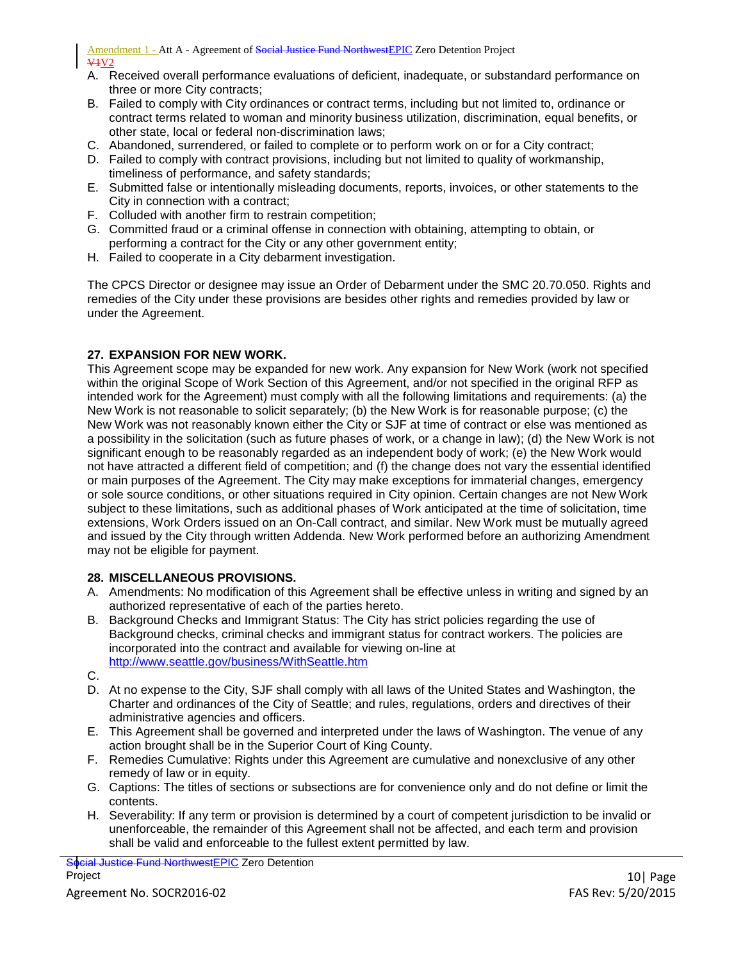- A. Received overall performance evaluations of deficient, inadequate, or substandard performance on three or more City contracts;
- B. Failed to comply with City ordinances or contract terms, including but not limited to, ordinance or contract terms related to woman and minority business utilization, discrimination, equal benefits, or other state, local or federal non-discrimination laws;
- C. Abandoned, surrendered, or failed to complete or to perform work on or for a City contract;
- D. Failed to comply with contract provisions, including but not limited to quality of workmanship, timeliness of performance, and safety standards;
- E. Submitted false or intentionally misleading documents, reports, invoices, or other statements to the City in connection with a contract;
- F. Colluded with another firm to restrain competition;
- G. Committed fraud or a criminal offense in connection with obtaining, attempting to obtain, or performing a contract for the City or any other government entity;
- H. Failed to cooperate in a City debarment investigation.

The CPCS Director or designee may issue an Order of Debarment under the SMC 20.70.050. Rights and remedies of the City under these provisions are besides other rights and remedies provided by law or under the Agreement.

#### **27. EXPANSION FOR NEW WORK.**

This Agreement scope may be expanded for new work. Any expansion for New Work (work not specified within the original Scope of Work Section of this Agreement, and/or not specified in the original RFP as intended work for the Agreement) must comply with all the following limitations and requirements: (a) the New Work is not reasonable to solicit separately; (b) the New Work is for reasonable purpose; (c) the New Work was not reasonably known either the City or SJF at time of contract or else was mentioned as a possibility in the solicitation (such as future phases of work, or a change in law); (d) the New Work is not significant enough to be reasonably regarded as an independent body of work; (e) the New Work would not have attracted a different field of competition; and (f) the change does not vary the essential identified or main purposes of the Agreement. The City may make exceptions for immaterial changes, emergency or sole source conditions, or other situations required in City opinion. Certain changes are not New Work subject to these limitations, such as additional phases of Work anticipated at the time of solicitation, time extensions, Work Orders issued on an On-Call contract, and similar. New Work must be mutually agreed and issued by the City through written Addenda. New Work performed before an authorizing Amendment may not be eligible for payment.

#### **28. MISCELLANEOUS PROVISIONS.**

- A. Amendments: No modification of this Agreement shall be effective unless in writing and signed by an authorized representative of each of the parties hereto.
- B. Background Checks and Immigrant Status: The City has strict policies regarding the use of Background checks, criminal checks and immigrant status for contract workers. The policies are incorporated into the contract and available for viewing on-line at <http://www.seattle.gov/business/WithSeattle.htm>
- C.
- D. At no expense to the City, SJF shall comply with all laws of the United States and Washington, the Charter and ordinances of the City of Seattle; and rules, regulations, orders and directives of their administrative agencies and officers.
- E. This Agreement shall be governed and interpreted under the laws of Washington. The venue of any action brought shall be in the Superior Court of King County.
- F. Remedies Cumulative: Rights under this Agreement are cumulative and nonexclusive of any other remedy of law or in equity.
- G. Captions: The titles of sections or subsections are for convenience only and do not define or limit the contents.
- H. Severability: If any term or provision is determined by a court of competent jurisdiction to be invalid or unenforceable, the remainder of this Agreement shall not be affected, and each term and provision shall be valid and enforceable to the fullest extent permitted by law.

<mark>Social Justice Fund Northwest</mark>EPIC Zero Detention<br>Project Project 2012 2013 2014 2022 2023 2024 2022 2022 2023 2024 2022 2023 2024 2022 2023 2024 2022 2023 2024 2022 20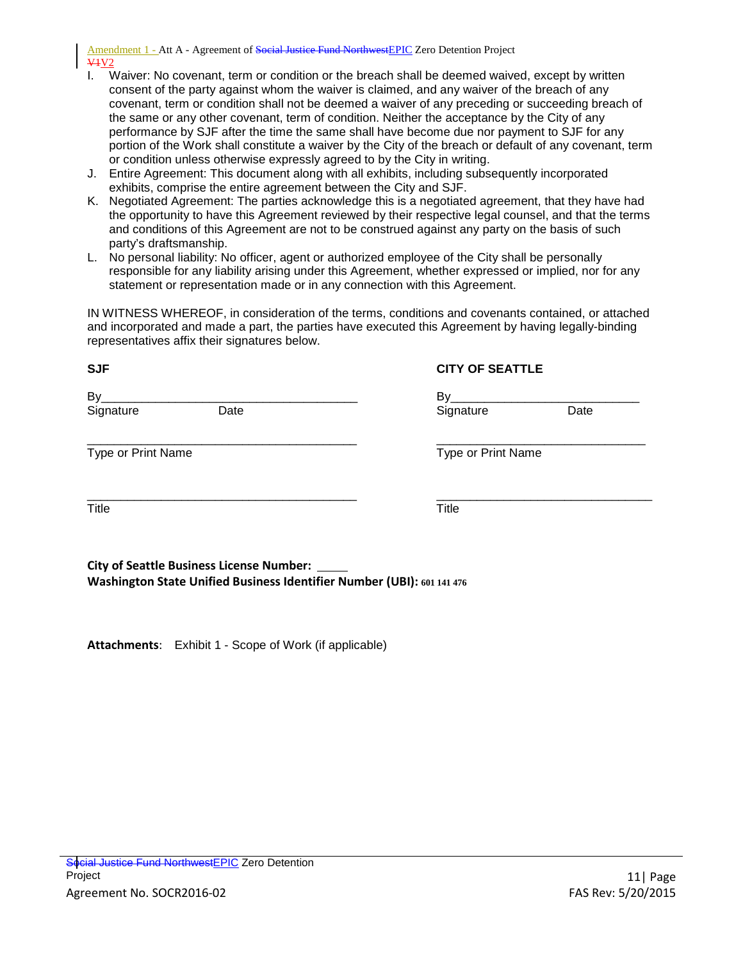- I. Waiver: No covenant, term or condition or the breach shall be deemed waived, except by written consent of the party against whom the waiver is claimed, and any waiver of the breach of any covenant, term or condition shall not be deemed a waiver of any preceding or succeeding breach of the same or any other covenant, term of condition. Neither the acceptance by the City of any performance by SJF after the time the same shall have become due nor payment to SJF for any portion of the Work shall constitute a waiver by the City of the breach or default of any covenant, term or condition unless otherwise expressly agreed to by the City in writing.
- J. Entire Agreement: This document along with all exhibits, including subsequently incorporated exhibits, comprise the entire agreement between the City and SJF.
- K. Negotiated Agreement: The parties acknowledge this is a negotiated agreement, that they have had the opportunity to have this Agreement reviewed by their respective legal counsel, and that the terms and conditions of this Agreement are not to be construed against any party on the basis of such party's draftsmanship.
- L. No personal liability: No officer, agent or authorized employee of the City shall be personally responsible for any liability arising under this Agreement, whether expressed or implied, nor for any statement or representation made or in any connection with this Agreement.

IN WITNESS WHEREOF, in consideration of the terms, conditions and covenants contained, or attached and incorporated and made a part, the parties have executed this Agreement by having legally-binding representatives affix their signatures below.

## **SJF CITY OF SEATTLE**

By\_\_\_\_\_\_\_\_\_\_\_\_\_\_\_\_\_\_\_\_\_\_\_\_\_\_\_\_\_\_\_\_\_\_\_\_\_\_ By\_\_\_\_\_\_\_\_\_\_\_\_\_\_\_\_\_\_\_\_\_\_\_\_\_\_\_\_ Signature Date Signature Date

\_\_\_\_\_\_\_\_\_\_\_\_\_\_\_\_\_\_\_\_\_\_\_\_\_\_\_\_\_\_\_\_\_\_\_\_\_\_\_\_ \_\_\_\_\_\_\_\_\_\_\_\_\_\_\_\_\_\_\_\_\_\_\_\_\_\_\_\_\_\_\_ Type or Print Name Type or Print Name

\_\_\_\_\_\_\_\_\_\_\_\_\_\_\_\_\_\_\_\_\_\_\_\_\_\_\_\_\_\_\_\_\_\_\_\_\_\_\_\_ \_\_\_\_\_\_\_\_\_\_\_\_\_\_\_\_\_\_\_\_\_\_\_\_\_\_\_\_\_\_\_\_ Title **The Time is the Contract of Title** 

**City of Seattle Business License Number: Washington State Unified Business Identifier Number (UBI): 601 141 476**

**Attachments**: Exhibit 1 - Scope of Work (if applicable)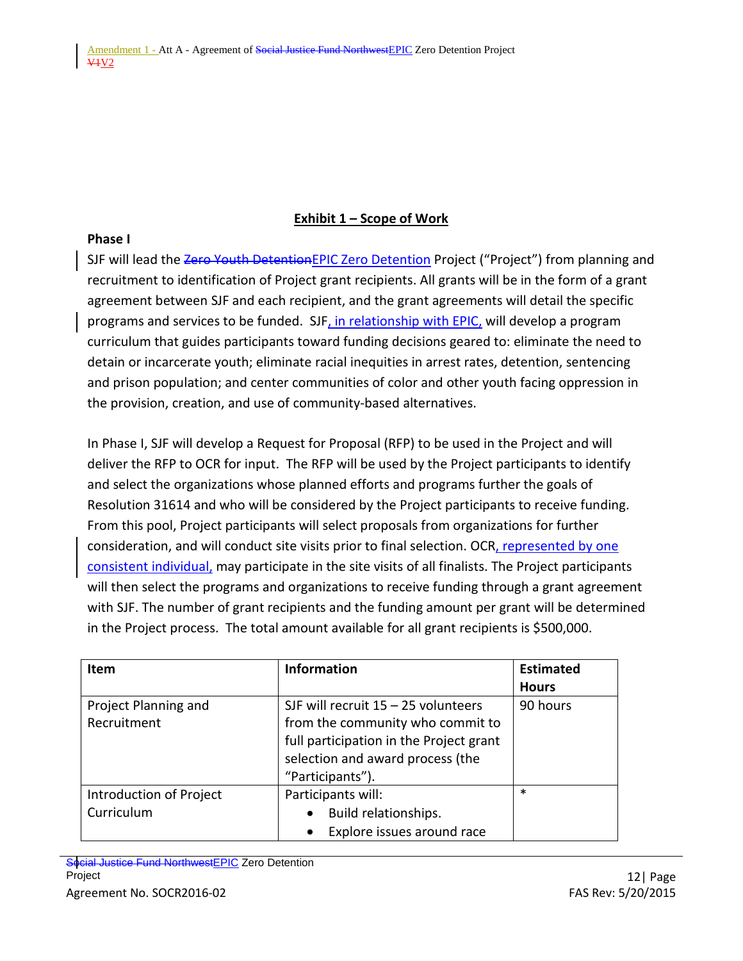## **Exhibit 1 – Scope of Work**

#### **Phase I**

SJF will lead the Zero Youth Detention EPIC Zero Detention Project ("Project") from planning and recruitment to identification of Project grant recipients. All grants will be in the form of a grant agreement between SJF and each recipient, and the grant agreements will detail the specific programs and services to be funded. SJF, in relationship with EPIC, will develop a program curriculum that guides participants toward funding decisions geared to: eliminate the need to detain or incarcerate youth; eliminate racial inequities in arrest rates, detention, sentencing and prison population; and center communities of color and other youth facing oppression in the provision, creation, and use of community-based alternatives.

In Phase I, SJF will develop a Request for Proposal (RFP) to be used in the Project and will deliver the RFP to OCR for input. The RFP will be used by the Project participants to identify and select the organizations whose planned efforts and programs further the goals of Resolution 31614 and who will be considered by the Project participants to receive funding. From this pool, Project participants will select proposals from organizations for further consideration, and will conduct site visits prior to final selection. OCR, represented by one consistent individual, may participate in the site visits of all finalists. The Project participants will then select the programs and organizations to receive funding through a grant agreement with SJF. The number of grant recipients and the funding amount per grant will be determined in the Project process. The total amount available for all grant recipients is \$500,000.

| <b>Item</b>             | <b>Information</b>                      | <b>Estimated</b> |
|-------------------------|-----------------------------------------|------------------|
|                         |                                         | <b>Hours</b>     |
| Project Planning and    | SJF will recruit $15 - 25$ volunteers   | 90 hours         |
| Recruitment             | from the community who commit to        |                  |
|                         | full participation in the Project grant |                  |
|                         | selection and award process (the        |                  |
|                         | "Participants").                        |                  |
| Introduction of Project | Participants will:                      | $\ast$           |
| Curriculum              | Build relationships.<br>$\bullet$       |                  |
|                         | Explore issues around race              |                  |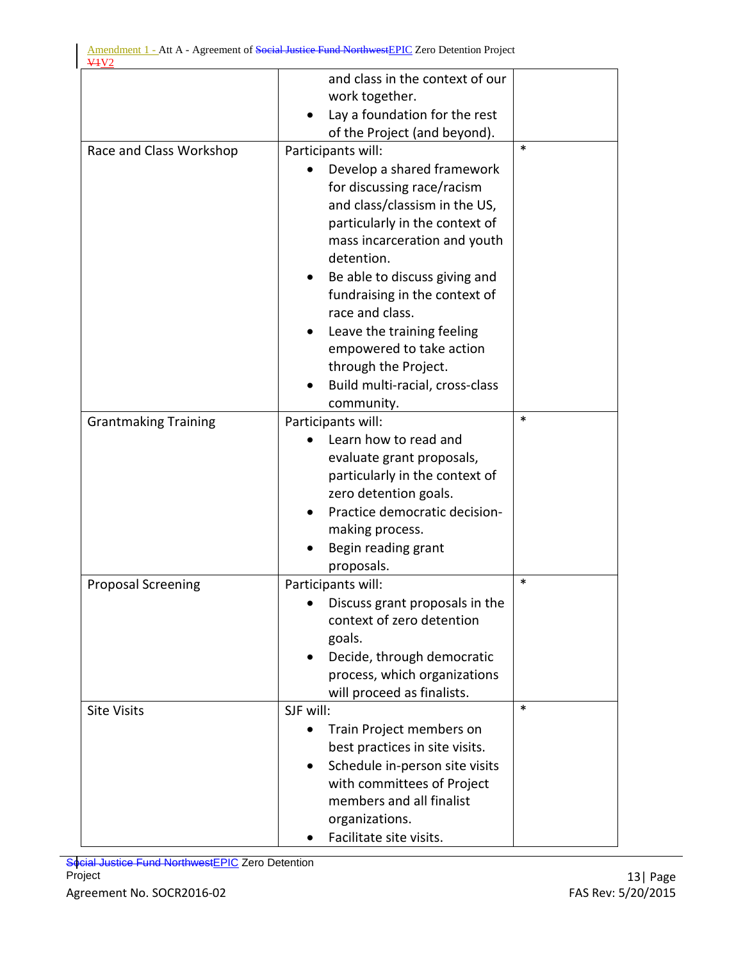|                             | and class in the context of our |        |
|-----------------------------|---------------------------------|--------|
|                             | work together.                  |        |
|                             | Lay a foundation for the rest   |        |
|                             | of the Project (and beyond).    |        |
| Race and Class Workshop     | Participants will:              | $\ast$ |
|                             | Develop a shared framework      |        |
|                             | for discussing race/racism      |        |
|                             | and class/classism in the US,   |        |
|                             | particularly in the context of  |        |
|                             | mass incarceration and youth    |        |
|                             | detention.                      |        |
|                             | Be able to discuss giving and   |        |
|                             | fundraising in the context of   |        |
|                             | race and class.                 |        |
|                             | Leave the training feeling      |        |
|                             | empowered to take action        |        |
|                             | through the Project.            |        |
|                             | Build multi-racial, cross-class |        |
|                             | community.                      |        |
| <b>Grantmaking Training</b> | Participants will:              | $\ast$ |
|                             | Learn how to read and           |        |
|                             | evaluate grant proposals,       |        |
|                             | particularly in the context of  |        |
|                             | zero detention goals.           |        |
|                             | Practice democratic decision-   |        |
|                             | making process.                 |        |
|                             | Begin reading grant             |        |
|                             | proposals.                      |        |
| <b>Proposal Screening</b>   | Participants will:              | $\ast$ |
|                             | Discuss grant proposals in the  |        |
|                             | context of zero detention       |        |
|                             | goals.                          |        |
|                             | Decide, through democratic      |        |
|                             | process, which organizations    |        |
|                             | will proceed as finalists.      |        |
| <b>Site Visits</b>          | SJF will:                       | $\ast$ |
|                             | Train Project members on        |        |
|                             | best practices in site visits.  |        |
|                             | Schedule in-person site visits  |        |
|                             | with committees of Project      |        |
|                             | members and all finalist        |        |
|                             | organizations.                  |        |
|                             | Facilitate site visits.         |        |

Social Justice Fund NorthwestEPIC Zero Detention Project 23 | Page 2014 13 | Page 2014 13 | Page 2014 13 | Page 2014 13 | Page 2014 13 | Page 2014 13 | Page 20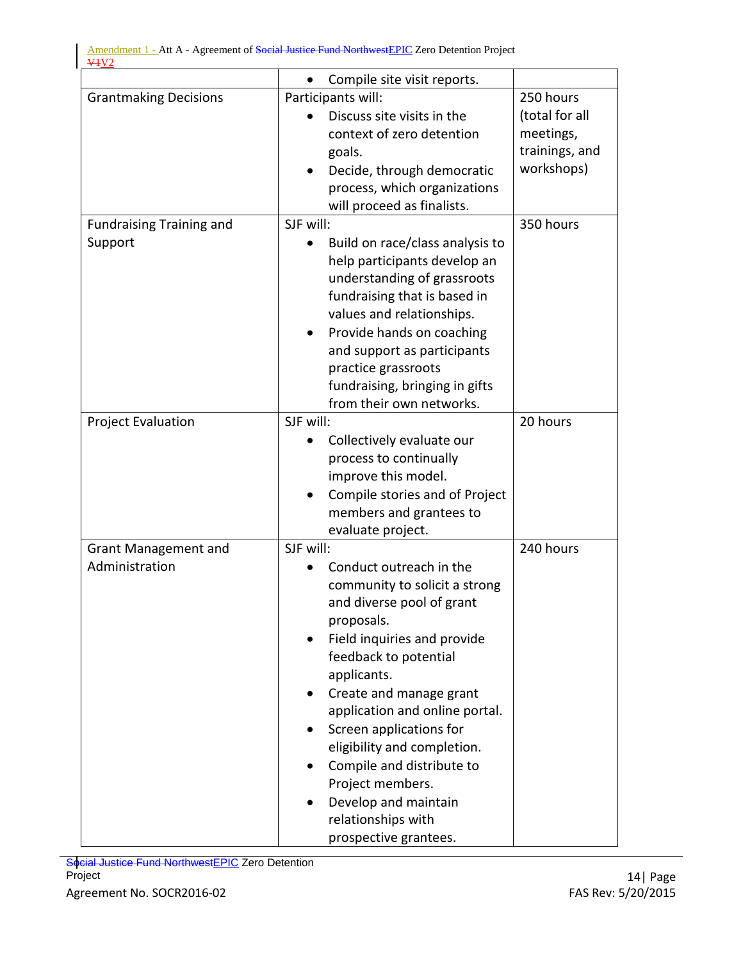|                                 | Compile site visit reports.<br>$\bullet$ |                |
|---------------------------------|------------------------------------------|----------------|
| <b>Grantmaking Decisions</b>    | Participants will:                       | 250 hours      |
|                                 | Discuss site visits in the               | (total for all |
|                                 | context of zero detention                | meetings,      |
|                                 | goals.                                   | trainings, and |
|                                 | Decide, through democratic               | workshops)     |
|                                 | process, which organizations             |                |
|                                 | will proceed as finalists.               |                |
| <b>Fundraising Training and</b> | SJF will:                                | 350 hours      |
| Support                         | Build on race/class analysis to          |                |
|                                 | help participants develop an             |                |
|                                 | understanding of grassroots              |                |
|                                 | fundraising that is based in             |                |
|                                 | values and relationships.                |                |
|                                 | Provide hands on coaching                |                |
|                                 | and support as participants              |                |
|                                 | practice grassroots                      |                |
|                                 | fundraising, bringing in gifts           |                |
|                                 | from their own networks.                 |                |
| <b>Project Evaluation</b>       | SJF will:                                | 20 hours       |
|                                 | Collectively evaluate our                |                |
|                                 | process to continually                   |                |
|                                 | improve this model.                      |                |
|                                 | Compile stories and of Project           |                |
|                                 | members and grantees to                  |                |
|                                 | evaluate project.                        |                |
| <b>Grant Management and</b>     | SJF will:                                | 240 hours      |
| Administration                  | Conduct outreach in the                  |                |
|                                 | community to solicit a strong            |                |
|                                 | and diverse pool of grant                |                |
|                                 | proposals.                               |                |
|                                 | Field inquiries and provide              |                |
|                                 | feedback to potential                    |                |
|                                 | applicants.                              |                |
|                                 | Create and manage grant<br>$\bullet$     |                |
|                                 | application and online portal.           |                |
|                                 | Screen applications for                  |                |
|                                 | eligibility and completion.              |                |
|                                 | Compile and distribute to                |                |
|                                 | Project members.                         |                |
|                                 | Develop and maintain                     |                |
|                                 | relationships with                       |                |
|                                 | prospective grantees.                    |                |

Social Justice Fund NorthwestEPIC Zero Detention Project 214 | Page